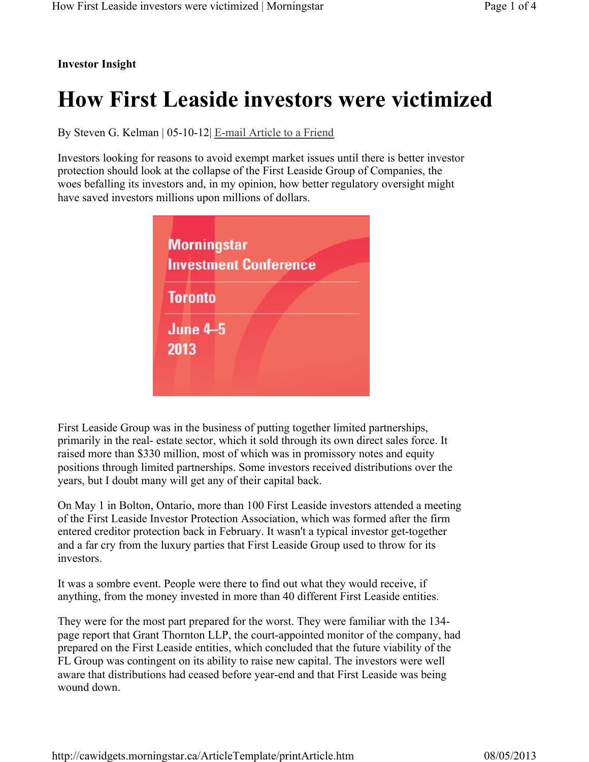## **Investor Insight**

## **How First Leaside investors were victimized**

By Steven G. Kelman | 05-10-12| E-mail Article to a Friend

Investors looking for reasons to avoid exempt market issues until there is better investor protection should look at the collapse of the First Leaside Group of Companies, the woes befalling its investors and, in my opinion, how better regulatory oversight might have saved investors millions upon millions of dollars.

|                         |  | <b>Investment Conference</b> |  |
|-------------------------|--|------------------------------|--|
| <b>Toronto</b>          |  |                              |  |
| <b>June 4-5</b><br>2013 |  |                              |  |

First Leaside Group was in the business of putting together limited partnerships, primarily in the real- estate sector, which it sold through its own direct sales force. It raised more than \$330 million, most of which was in promissory notes and equity positions through limited partnerships. Some investors received distributions over the years, but I doubt many will get any of their capital back.

On May 1 in Bolton, Ontario, more than 100 First Leaside investors attended a meeting of the First Leaside Investor Protection Association, which was formed after the firm entered creditor protection back in February. It wasn't a typical investor get-together and a far cry from the luxury parties that First Leaside Group used to throw for its investors.

It was a sombre event. People were there to find out what they would receive, if anything, from the money invested in more than 40 different First Leaside entities.

They were for the most part prepared for the worst. They were familiar with the 134 page report that Grant Thornton LLP, the court-appointed monitor of the company, had prepared on the First Leaside entities, which concluded that the future viability of the FL Group was contingent on its ability to raise new capital. The investors were well aware that distributions had ceased before year-end and that First Leaside was being wound down.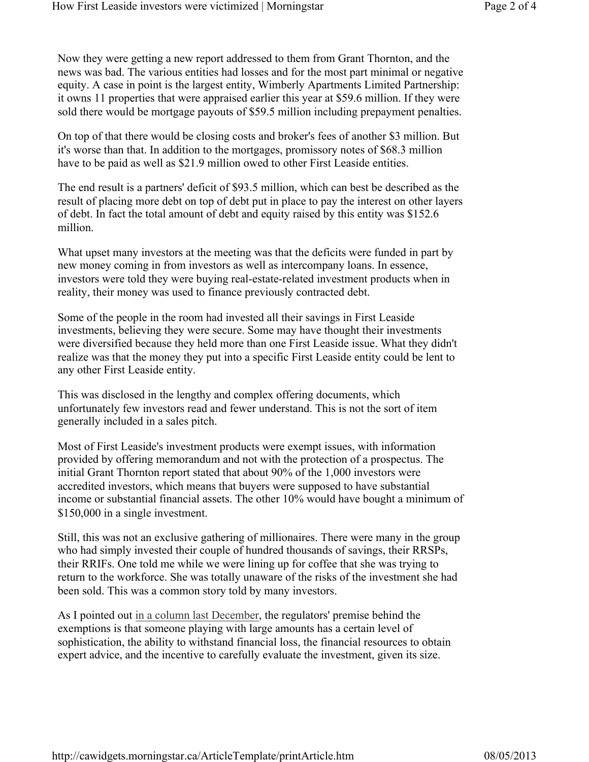Now they were getting a new report addressed to them from Grant Thornton, and the news was bad. The various entities had losses and for the most part minimal or negative equity. A case in point is the largest entity, Wimberly Apartments Limited Partnership: it owns 11 properties that were appraised earlier this year at \$59.6 million. If they were sold there would be mortgage payouts of \$59.5 million including prepayment penalties.

On top of that there would be closing costs and broker's fees of another \$3 million. But it's worse than that. In addition to the mortgages, promissory notes of \$68.3 million have to be paid as well as \$21.9 million owed to other First Leaside entities.

The end result is a partners' deficit of \$93.5 million, which can best be described as the result of placing more debt on top of debt put in place to pay the interest on other layers of debt. In fact the total amount of debt and equity raised by this entity was \$152.6 million.

What upset many investors at the meeting was that the deficits were funded in part by new money coming in from investors as well as intercompany loans. In essence, investors were told they were buying real-estate-related investment products when in reality, their money was used to finance previously contracted debt.

Some of the people in the room had invested all their savings in First Leaside investments, believing they were secure. Some may have thought their investments were diversified because they held more than one First Leaside issue. What they didn't realize was that the money they put into a specific First Leaside entity could be lent to any other First Leaside entity.

This was disclosed in the lengthy and complex offering documents, which unfortunately few investors read and fewer understand. This is not the sort of item generally included in a sales pitch.

Most of First Leaside's investment products were exempt issues, with information provided by offering memorandum and not with the protection of a prospectus. The initial Grant Thornton report stated that about 90% of the 1,000 investors were accredited investors, which means that buyers were supposed to have substantial income or substantial financial assets. The other 10% would have bought a minimum of \$150,000 in a single investment.

Still, this was not an exclusive gathering of millionaires. There were many in the group who had simply invested their couple of hundred thousands of savings, their RRSPs, their RRIFs. One told me while we were lining up for coffee that she was trying to return to the workforce. She was totally unaware of the risks of the investment she had been sold. This was a common story told by many investors.

As I pointed out in a column last December, the regulators' premise behind the exemptions is that someone playing with large amounts has a certain level of sophistication, the ability to withstand financial loss, the financial resources to obtain expert advice, and the incentive to carefully evaluate the investment, given its size.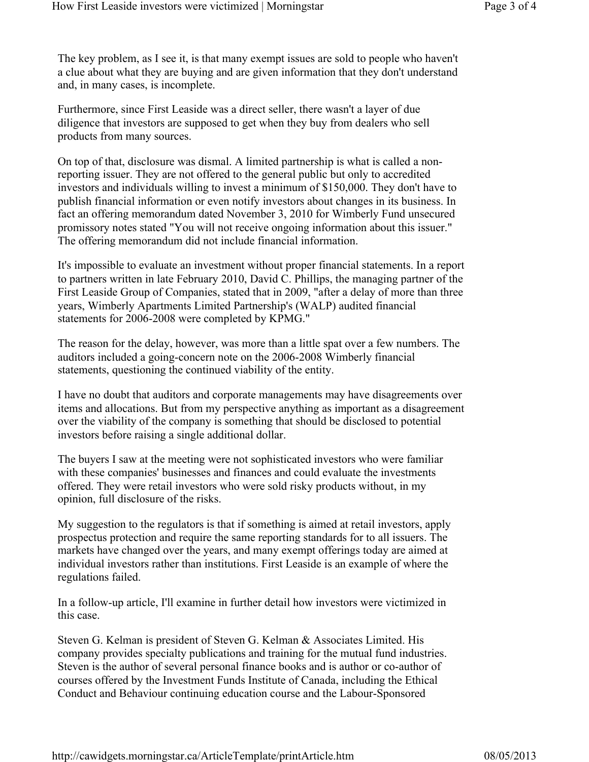The key problem, as I see it, is that many exempt issues are sold to people who haven't a clue about what they are buying and are given information that they don't understand and, in many cases, is incomplete.

Furthermore, since First Leaside was a direct seller, there wasn't a layer of due diligence that investors are supposed to get when they buy from dealers who sell products from many sources.

On top of that, disclosure was dismal. A limited partnership is what is called a nonreporting issuer. They are not offered to the general public but only to accredited investors and individuals willing to invest a minimum of \$150,000. They don't have to publish financial information or even notify investors about changes in its business. In fact an offering memorandum dated November 3, 2010 for Wimberly Fund unsecured promissory notes stated "You will not receive ongoing information about this issuer." The offering memorandum did not include financial information.

It's impossible to evaluate an investment without proper financial statements. In a report to partners written in late February 2010, David C. Phillips, the managing partner of the First Leaside Group of Companies, stated that in 2009, "after a delay of more than three years, Wimberly Apartments Limited Partnership's (WALP) audited financial statements for 2006-2008 were completed by KPMG."

The reason for the delay, however, was more than a little spat over a few numbers. The auditors included a going-concern note on the 2006-2008 Wimberly financial statements, questioning the continued viability of the entity.

I have no doubt that auditors and corporate managements may have disagreements over items and allocations. But from my perspective anything as important as a disagreement over the viability of the company is something that should be disclosed to potential investors before raising a single additional dollar.

The buyers I saw at the meeting were not sophisticated investors who were familiar with these companies' businesses and finances and could evaluate the investments offered. They were retail investors who were sold risky products without, in my opinion, full disclosure of the risks.

My suggestion to the regulators is that if something is aimed at retail investors, apply prospectus protection and require the same reporting standards for to all issuers. The markets have changed over the years, and many exempt offerings today are aimed at individual investors rather than institutions. First Leaside is an example of where the regulations failed.

In a follow-up article, I'll examine in further detail how investors were victimized in this case.

Steven G. Kelman is president of Steven G. Kelman & Associates Limited. His company provides specialty publications and training for the mutual fund industries. Steven is the author of several personal finance books and is author or co-author of courses offered by the Investment Funds Institute of Canada, including the Ethical Conduct and Behaviour continuing education course and the Labour-Sponsored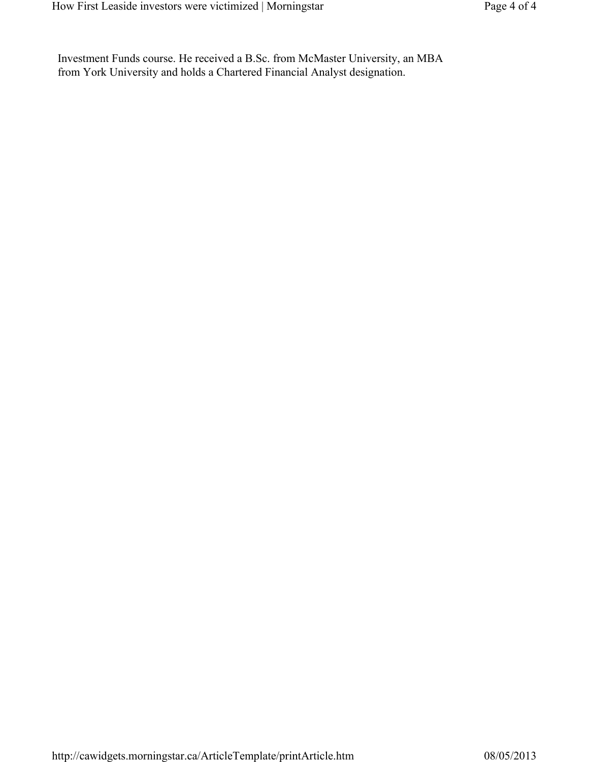Investment Funds course. He received a B.Sc. from McMaster University, an MBA from York University and holds a Chartered Financial Analyst designation.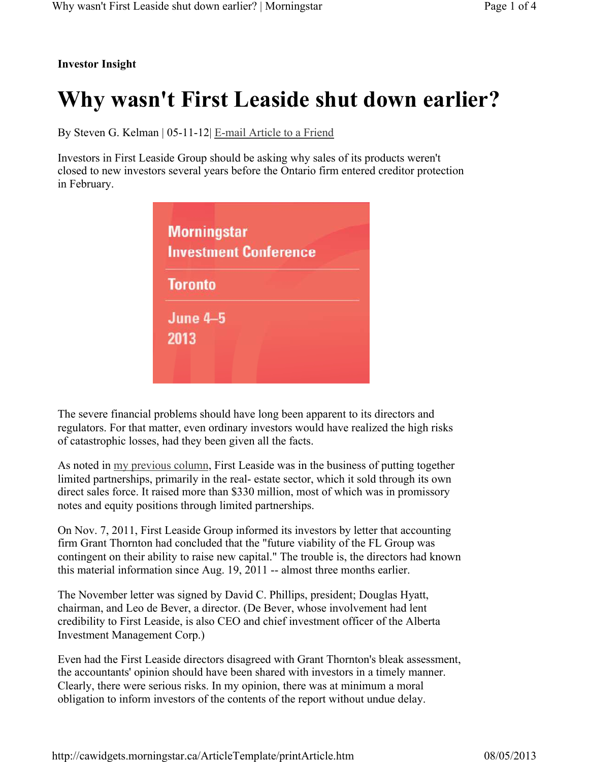## **Investor Insight**

## **Why wasn't First Leaside shut down earlier?**

By Steven G. Kelman | 05-11-12| E-mail Article to a Friend

Investors in First Leaside Group should be asking why sales of its products weren't closed to new investors several years before the Ontario firm entered creditor protection in February.

| <b>Morningstar</b><br><b>Investment Conference</b> |  |  |  |  |
|----------------------------------------------------|--|--|--|--|
| <b>Toronto</b>                                     |  |  |  |  |
| <b>June 4-5</b><br>2013                            |  |  |  |  |

The severe financial problems should have long been apparent to its directors and regulators. For that matter, even ordinary investors would have realized the high risks of catastrophic losses, had they been given all the facts.

As noted in my previous column, First Leaside was in the business of putting together limited partnerships, primarily in the real- estate sector, which it sold through its own direct sales force. It raised more than \$330 million, most of which was in promissory notes and equity positions through limited partnerships.

On Nov. 7, 2011, First Leaside Group informed its investors by letter that accounting firm Grant Thornton had concluded that the "future viability of the FL Group was contingent on their ability to raise new capital." The trouble is, the directors had known this material information since Aug. 19, 2011 -- almost three months earlier.

The November letter was signed by David C. Phillips, president; Douglas Hyatt, chairman, and Leo de Bever, a director. (De Bever, whose involvement had lent credibility to First Leaside, is also CEO and chief investment officer of the Alberta Investment Management Corp.)

Even had the First Leaside directors disagreed with Grant Thornton's bleak assessment, the accountants' opinion should have been shared with investors in a timely manner. Clearly, there were serious risks. In my opinion, there was at minimum a moral obligation to inform investors of the contents of the report without undue delay.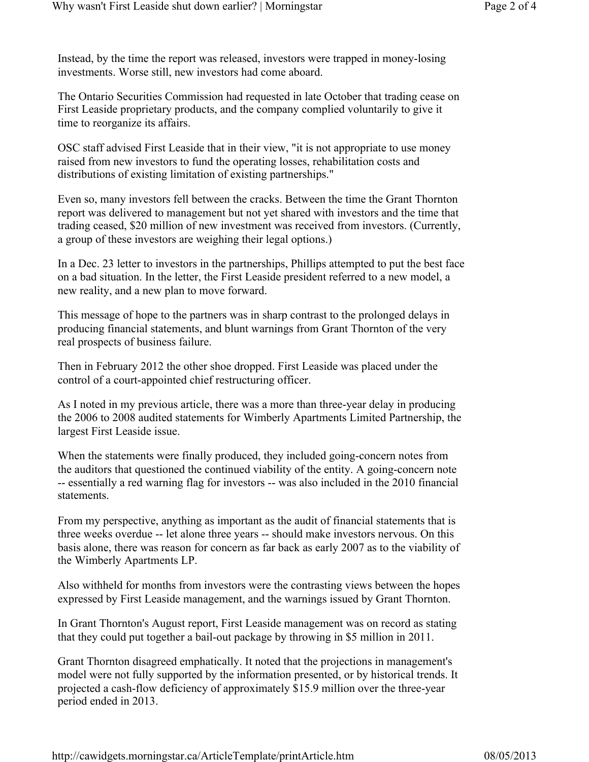Instead, by the time the report was released, investors were trapped in money-losing investments. Worse still, new investors had come aboard.

The Ontario Securities Commission had requested in late October that trading cease on First Leaside proprietary products, and the company complied voluntarily to give it time to reorganize its affairs.

OSC staff advised First Leaside that in their view, "it is not appropriate to use money raised from new investors to fund the operating losses, rehabilitation costs and distributions of existing limitation of existing partnerships."

Even so, many investors fell between the cracks. Between the time the Grant Thornton report was delivered to management but not yet shared with investors and the time that trading ceased, \$20 million of new investment was received from investors. (Currently, a group of these investors are weighing their legal options.)

In a Dec. 23 letter to investors in the partnerships, Phillips attempted to put the best face on a bad situation. In the letter, the First Leaside president referred to a new model, a new reality, and a new plan to move forward.

This message of hope to the partners was in sharp contrast to the prolonged delays in producing financial statements, and blunt warnings from Grant Thornton of the very real prospects of business failure.

Then in February 2012 the other shoe dropped. First Leaside was placed under the control of a court-appointed chief restructuring officer.

As I noted in my previous article, there was a more than three-year delay in producing the 2006 to 2008 audited statements for Wimberly Apartments Limited Partnership, the largest First Leaside issue.

When the statements were finally produced, they included going-concern notes from the auditors that questioned the continued viability of the entity. A going-concern note -- essentially a red warning flag for investors -- was also included in the 2010 financial statements.

From my perspective, anything as important as the audit of financial statements that is three weeks overdue -- let alone three years -- should make investors nervous. On this basis alone, there was reason for concern as far back as early 2007 as to the viability of the Wimberly Apartments LP.

Also withheld for months from investors were the contrasting views between the hopes expressed by First Leaside management, and the warnings issued by Grant Thornton.

In Grant Thornton's August report, First Leaside management was on record as stating that they could put together a bail-out package by throwing in \$5 million in 2011.

Grant Thornton disagreed emphatically. It noted that the projections in management's model were not fully supported by the information presented, or by historical trends. It projected a cash-flow deficiency of approximately \$15.9 million over the three-year period ended in 2013.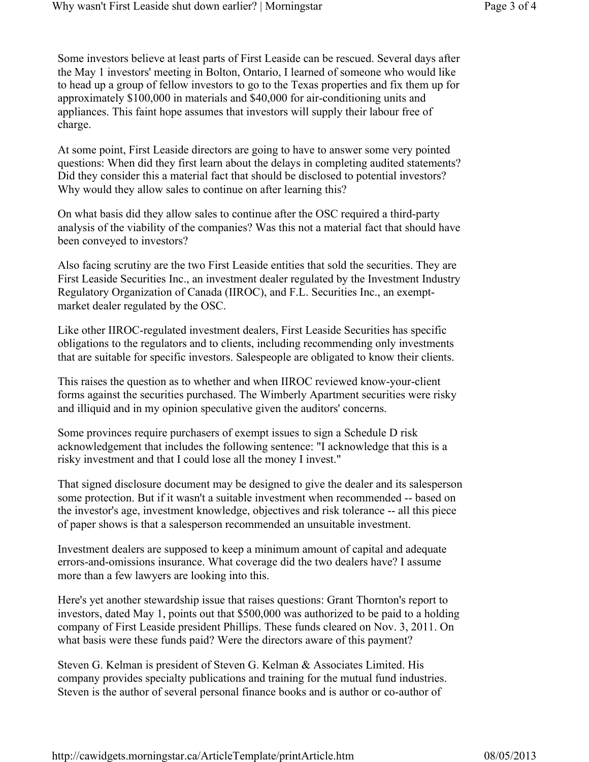Some investors believe at least parts of First Leaside can be rescued. Several days after the May 1 investors' meeting in Bolton, Ontario, I learned of someone who would like to head up a group of fellow investors to go to the Texas properties and fix them up for approximately \$100,000 in materials and \$40,000 for air-conditioning units and appliances. This faint hope assumes that investors will supply their labour free of charge.

At some point, First Leaside directors are going to have to answer some very pointed questions: When did they first learn about the delays in completing audited statements? Did they consider this a material fact that should be disclosed to potential investors? Why would they allow sales to continue on after learning this?

On what basis did they allow sales to continue after the OSC required a third-party analysis of the viability of the companies? Was this not a material fact that should have been conveyed to investors?

Also facing scrutiny are the two First Leaside entities that sold the securities. They are First Leaside Securities Inc., an investment dealer regulated by the Investment Industry Regulatory Organization of Canada (IIROC), and F.L. Securities Inc., an exemptmarket dealer regulated by the OSC.

Like other IIROC-regulated investment dealers, First Leaside Securities has specific obligations to the regulators and to clients, including recommending only investments that are suitable for specific investors. Salespeople are obligated to know their clients.

This raises the question as to whether and when IIROC reviewed know-your-client forms against the securities purchased. The Wimberly Apartment securities were risky and illiquid and in my opinion speculative given the auditors' concerns.

Some provinces require purchasers of exempt issues to sign a Schedule D risk acknowledgement that includes the following sentence: "I acknowledge that this is a risky investment and that I could lose all the money I invest."

That signed disclosure document may be designed to give the dealer and its salesperson some protection. But if it wasn't a suitable investment when recommended -- based on the investor's age, investment knowledge, objectives and risk tolerance -- all this piece of paper shows is that a salesperson recommended an unsuitable investment.

Investment dealers are supposed to keep a minimum amount of capital and adequate errors-and-omissions insurance. What coverage did the two dealers have? I assume more than a few lawyers are looking into this.

Here's yet another stewardship issue that raises questions: Grant Thornton's report to investors, dated May 1, points out that \$500,000 was authorized to be paid to a holding company of First Leaside president Phillips. These funds cleared on Nov. 3, 2011. On what basis were these funds paid? Were the directors aware of this payment?

Steven G. Kelman is president of Steven G. Kelman & Associates Limited. His company provides specialty publications and training for the mutual fund industries. Steven is the author of several personal finance books and is author or co-author of